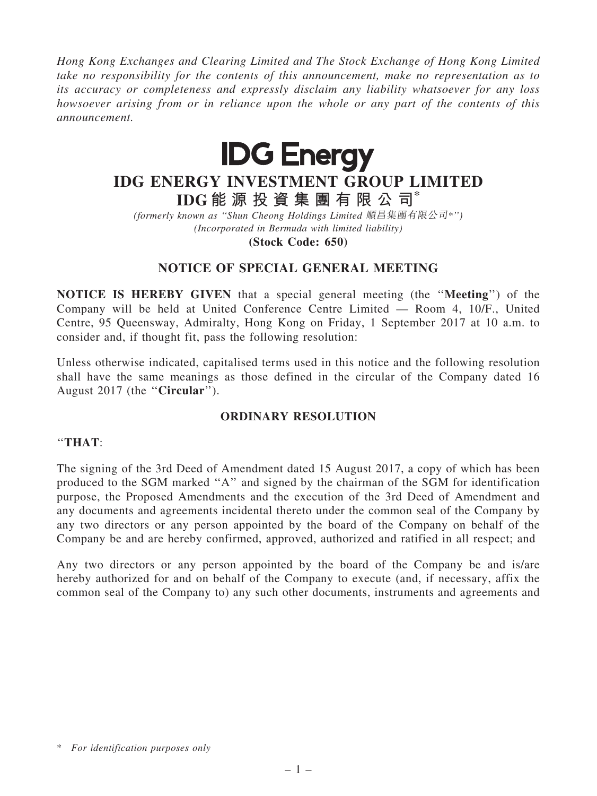*Hong Kong Exchanges and Clearing Limited and The Stock Exchange of Hong Kong Limited take no responsibility for the contents of this announcement, make no representation as to its accuracy or completeness and expressly disclaim any liability whatsoever for any loss howsoever arising from or in reliance upon the whole or any part of the contents of this announcement.*



## IDG ENERGY INVESTMENT GROUP LIMITED IDG 能 源 投 資 集 團 有 限 公 司\*

*(formerly known as* ''*Shun Cheong Holdings Limited* 順昌集團有限公司*\**''*) (Incorporated in Bermuda with limited liability)*

(Stock Code: 650)

## NOTICE OF SPECIAL GENERAL MEETING

NOTICE IS HEREBY GIVEN that a special general meeting (the ''Meeting'') of the Company will be held at United Conference Centre Limited — Room 4, 10/F., United Centre, 95 Queensway, Admiralty, Hong Kong on Friday, 1 September 2017 at 10 a.m. to consider and, if thought fit, pass the following resolution:

Unless otherwise indicated, capitalised terms used in this notice and the following resolution shall have the same meanings as those defined in the circular of the Company dated 16 August 2017 (the "Circular").

## ORDINARY RESOLUTION

## ''THAT:

The signing of the 3rd Deed of Amendment dated 15 August 2017, a copy of which has been produced to the SGM marked ''A'' and signed by the chairman of the SGM for identification purpose, the Proposed Amendments and the execution of the 3rd Deed of Amendment and any documents and agreements incidental thereto under the common seal of the Company by any two directors or any person appointed by the board of the Company on behalf of the Company be and are hereby confirmed, approved, authorized and ratified in all respect; and

Any two directors or any person appointed by the board of the Company be and is/are hereby authorized for and on behalf of the Company to execute (and, if necessary, affix the common seal of the Company to) any such other documents, instruments and agreements and

<sup>\*</sup> *For identification purposes only*